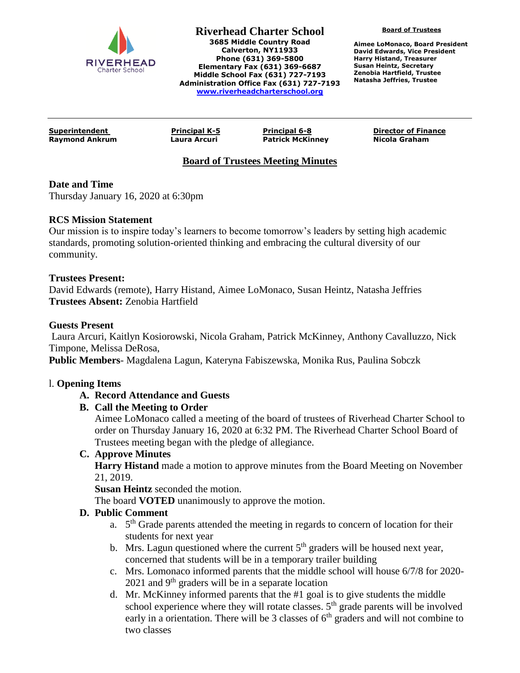

**Riverhead Charter School 3685 Middle Country Road Calverton, NY11933 Phone (631) 369-5800 Elementary Fax (631) 369-6687 Middle School Fax (631) 727-7193 Administration Office Fax (631) 727-7193 [www.riverheadcharterschool.org](http://www.riverheadcharterschool.org/)**

**Board of Trustees**

**Aimee LoMonaco, Board President David Edwards, Vice President Harry Histand, Treasurer Susan Heintz, Secretary Zenobia Hartfield, Trustee Natasha Jeffries, Trustee**

**Raymond Ankrum Laura Arcuri Patrick McKinney Nicola Graham**

**Superintendent Principal K-5 Principal 6-8 Director of Finance**

# **Board of Trustees Meeting Minutes**

### **Date and Time**

Thursday January 16, 2020 at 6:30pm

#### **RCS Mission Statement**

Our mission is to inspire today's learners to become tomorrow's leaders by setting high academic standards, promoting solution-oriented thinking and embracing the cultural diversity of our community.

#### **Trustees Present:**

David Edwards (remote), Harry Histand, Aimee LoMonaco, Susan Heintz, Natasha Jeffries **Trustees Absent:** Zenobia Hartfield

#### **Guests Present**

Laura Arcuri, Kaitlyn Kosiorowski, Nicola Graham, Patrick McKinney, Anthony Cavalluzzo, Nick Timpone, Melissa DeRosa,

**Public Members**- Magdalena Lagun, Kateryna Fabiszewska, Monika Rus, Paulina Sobczk

### l. **Opening Items**

### **A. Record Attendance and Guests**

### **B. Call the Meeting to Order**

Aimee LoMonaco called a meeting of the board of trustees of Riverhead Charter School to order on Thursday January 16, 2020 at 6:32 PM. The Riverhead Charter School Board of Trustees meeting began with the pledge of allegiance.

#### **C. Approve Minutes**

**Harry Histand** made a motion to approve minutes from the Board Meeting on November 21, 2019.

**Susan Heintz** seconded the motion.

The board **VOTED** unanimously to approve the motion.

### **D. Public Comment**

- a. 5<sup>th</sup> Grade parents attended the meeting in regards to concern of location for their students for next year
- b. Mrs. Lagun questioned where the current  $5<sup>th</sup>$  graders will be housed next year, concerned that students will be in a temporary trailer building
- c. Mrs. Lomonaco informed parents that the middle school will house 6/7/8 for 2020-  $2021$  and 9<sup>th</sup> graders will be in a separate location
- d. Mr. McKinney informed parents that the  $#1$  goal is to give students the middle school experience where they will rotate classes.  $5<sup>th</sup>$  grade parents will be involved early in a orientation. There will be 3 classes of  $6<sup>th</sup>$  graders and will not combine to two classes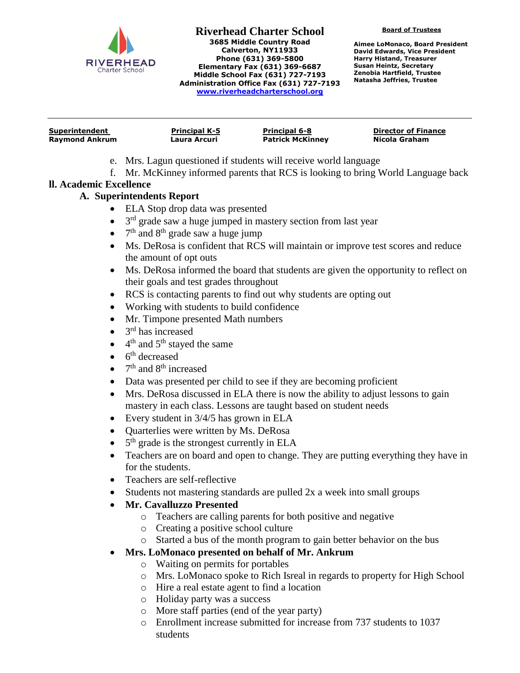

**Riverhead Charter School 3685 Middle Country Road Calverton, NY11933 Phone (631) 369-5800 Elementary Fax (631) 369-6687 Middle School Fax (631) 727-7193 Administration Office Fax (631) 727-7193 [www.riverheadcharterschool.org](http://www.riverheadcharterschool.org/)**

**Board of Trustees**

**Aimee LoMonaco, Board President David Edwards, Vice President Harry Histand, Treasurer Susan Heintz, Secretary Zenobia Hartfield, Trustee Natasha Jeffries, Trustee**

| Superintendent        | <b>Principal K-5</b> | <b>Principal 6-8</b>    | <b>Director of Finance</b> |
|-----------------------|----------------------|-------------------------|----------------------------|
| <b>Raymond Ankrum</b> | Laura Arcuri         | <b>Patrick McKinney</b> | Nicola Graham              |
|                       |                      |                         |                            |

- e. Mrs. Lagun questioned if students will receive world language
- f. Mr. McKinney informed parents that RCS is looking to bring World Language back

### **ll. Academic Excellence**

# **A. Superintendents Report**

- ELA Stop drop data was presented
- $\bullet$  $3<sup>rd</sup>$  grade saw a huge jumped in mastery section from last year
- $\bullet$  $7<sup>th</sup>$  and  $8<sup>th</sup>$  grade saw a huge jump
- Ms. DeRosa is confident that RCS will maintain or improve test scores and reduce the amount of opt outs
- Ms. DeRosa informed the board that students are given the opportunity to reflect on their goals and test grades throughout
- RCS is contacting parents to find out why students are opting out
- Working with students to build confidence
- Mr. Timpone presented Math numbers
- $\bullet$  $3<sup>rd</sup>$  has increased
- $\bullet$  4<sup>th</sup> and 5<sup>th</sup> stayed the same
- $\bullet$  6<sup>th</sup> decreased
- $7<sup>th</sup>$  and  $8<sup>th</sup>$  increased
- Data was presented per child to see if they are becoming proficient
- Mrs. DeRosa discussed in ELA there is now the ability to adjust lessons to gain mastery in each class. Lessons are taught based on student needs
- Every student in  $3/4/5$  has grown in ELA
- Quarterlies were written by Ms. DeRosa
- $\bullet$  5<sup>th</sup> grade is the strongest currently in ELA
- Teachers are on board and open to change. They are putting everything they have in for the students.
- Teachers are self-reflective
- Students not mastering standards are pulled 2x a week into small groups
- **Mr. Cavalluzzo Presented**
	- o Teachers are calling parents for both positive and negative
	- o Creating a positive school culture
	- o Started a bus of the month program to gain better behavior on the bus

# **Mrs. LoMonaco presented on behalf of Mr. Ankrum**

- o Waiting on permits for portables
- o Mrs. LoMonaco spoke to Rich Isreal in regards to property for High School
- o Hire a real estate agent to find a location
- o Holiday party was a success
- o More staff parties (end of the year party)
- o Enrollment increase submitted for increase from 737 students to 1037 students